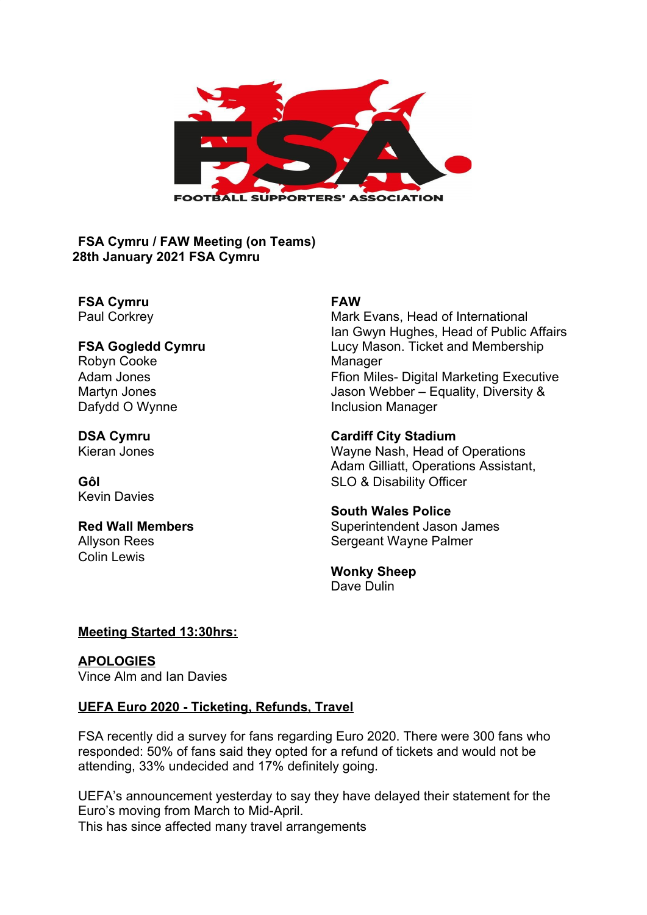

**FSA Cymru / FAW Meeting (on Teams) 28th January 2021 FSA Cymru**

**FSA Cymru EXAM**<br> **FAW**<br>
Paul Corkrey **FAW** 

## Robyn Cooke Manager Dafydd O Wynne **Inclusion Manager**

Kevin Davies

# Colin Lewis

Mark Evans, Head of International Ian Gwyn Hughes, Head of Public Affairs **FSA Gogledd Cymru** Lucy Mason. Ticket and Membership Adam Jones **Ffion Miles- Digital Marketing Executive** Martyn Jones **Martyn Jones** Jason Webber – Equality, Diversity &

#### **DSA Cymru Cardiff City Stadium**

Kieran Jones Wayne Nash, Head of Operations Adam Gilliatt, Operations Assistant, **Gôl** SLO & Disability Officer

#### **South Wales Police**

**Red Wall Members Superintendent Jason James** Allyson Rees **Sergeant Wayne Palmer** Sergeant Wayne Palmer

#### **Wonky Sheep** Dave Dulin

#### **Meeting Started 13:30hrs:**

**APOLOGIES** Vince Alm and Ian Davies

#### **UEFA Euro 2020 - Ticketing, Refunds, Travel**

FSA recently did a survey for fans regarding Euro 2020. There were 300 fans who responded: 50% of fans said they opted for a refund of tickets and would not be attending, 33% undecided and 17% definitely going.

UEFA's announcement yesterday to say they have delayed their statement for the Euro's moving from March to Mid-April. This has since affected many travel arrangements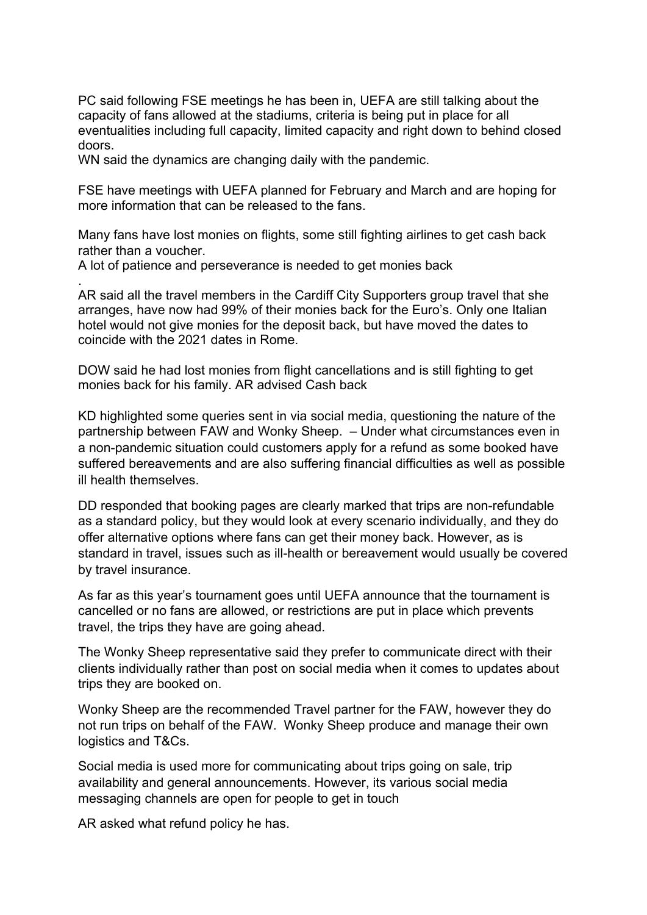PC said following FSE meetings he has been in, UEFA are still talking about the capacity of fans allowed at the stadiums, criteria is being put in place for all eventualities including full capacity, limited capacity and right down to behind closed doors.

WN said the dynamics are changing daily with the pandemic.

FSE have meetings with UEFA planned for February and March and are hoping for more information that can be released to the fans.

Many fans have lost monies on flights, some still fighting airlines to get cash back rather than a voucher.

A lot of patience and perseverance is needed to get monies back

. AR said all the travel members in the Cardiff City Supporters group travel that she arranges, have now had 99% of their monies back for the Euro's. Only one Italian hotel would not give monies for the deposit back, but have moved the dates to coincide with the 2021 dates in Rome.

DOW said he had lost monies from flight cancellations and is still fighting to get monies back for his family. AR advised Cash back

KD highlighted some queries sent in via social media, questioning the nature of the partnership between FAW and Wonky Sheep. – Under what circumstances even in a non-pandemic situation could customers apply for a refund as some booked have suffered bereavements and are also suffering financial difficulties as well as possible ill health themselves.

DD responded that booking pages are clearly marked that trips are non-refundable as a standard policy, but they would look at every scenario individually, and they do offer alternative options where fans can get their money back. However, as is standard in travel, issues such as ill-health or bereavement would usually be covered by travel insurance.

As far as this year's tournament goes until UEFA announce that the tournament is cancelled or no fans are allowed, or restrictions are put in place which prevents travel, the trips they have are going ahead.

The Wonky Sheep representative said they prefer to communicate direct with their clients individually rather than post on social media when it comes to updates about trips they are booked on.

Wonky Sheep are the recommended Travel partner for the FAW, however they do not run trips on behalf of the FAW. Wonky Sheep produce and manage their own logistics and T&Cs.

Social media is used more for communicating about trips going on sale, trip availability and general announcements. However, its various social media messaging channels are open for people to get in touch

AR asked what refund policy he has.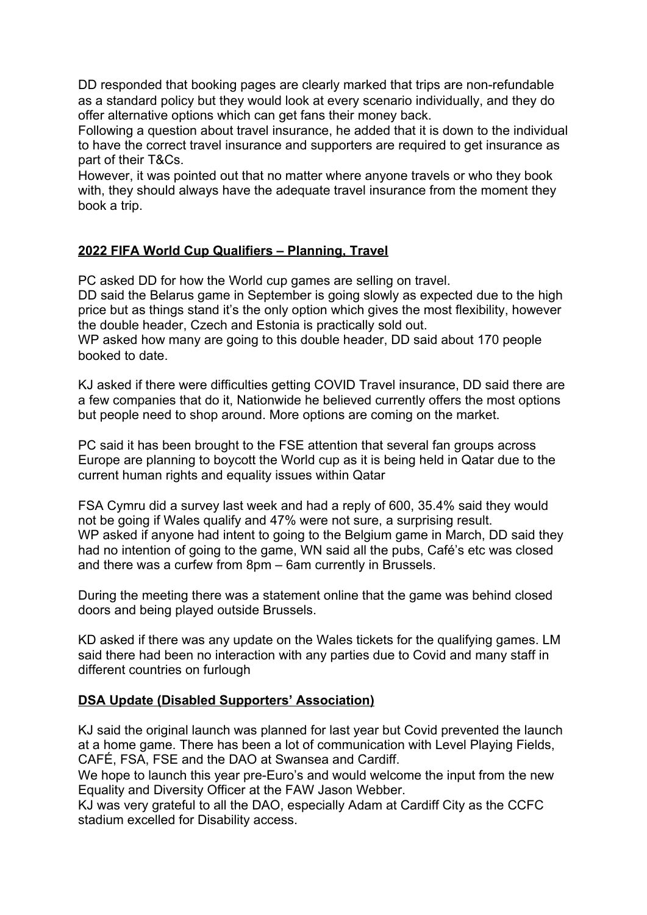DD responded that booking pages are clearly marked that trips are non-refundable as a standard policy but they would look at every scenario individually, and they do offer alternative options which can get fans their money back.

Following a question about travel insurance, he added that it is down to the individual to have the correct travel insurance and supporters are required to get insurance as part of their T&Cs.

However, it was pointed out that no matter where anyone travels or who they book with, they should always have the adequate travel insurance from the moment they book a trip.

#### **2022 FIFA World Cup Qualifiers – Planning, Travel**

PC asked DD for how the World cup games are selling on travel.

DD said the Belarus game in September is going slowly as expected due to the high price but as things stand it's the only option which gives the most flexibility, however the double header, Czech and Estonia is practically sold out.

WP asked how many are going to this double header, DD said about 170 people booked to date.

KJ asked if there were difficulties getting COVID Travel insurance, DD said there are a few companies that do it, Nationwide he believed currently offers the most options but people need to shop around. More options are coming on the market.

PC said it has been brought to the FSE attention that several fan groups across Europe are planning to boycott the World cup as it is being held in Qatar due to the current human rights and equality issues within Qatar

FSA Cymru did a survey last week and had a reply of 600, 35.4% said they would not be going if Wales qualify and 47% were not sure, a surprising result. WP asked if anyone had intent to going to the Belgium game in March, DD said they had no intention of going to the game, WN said all the pubs, Café's etc was closed and there was a curfew from 8pm – 6am currently in Brussels.

During the meeting there was a statement online that the game was behind closed doors and being played outside Brussels.

KD asked if there was any update on the Wales tickets for the qualifying games. LM said there had been no interaction with any parties due to Covid and many staff in different countries on furlough

#### **DSA Update (Disabled Supporters' Association)**

KJ said the original launch was planned for last year but Covid prevented the launch at a home game. There has been a lot of communication with Level Playing Fields, CAFÉ, FSA, FSE and the DAO at Swansea and Cardiff.

We hope to launch this year pre-Euro's and would welcome the input from the new Equality and Diversity Officer at the FAW Jason Webber.

KJ was very grateful to all the DAO, especially Adam at Cardiff City as the CCFC stadium excelled for Disability access.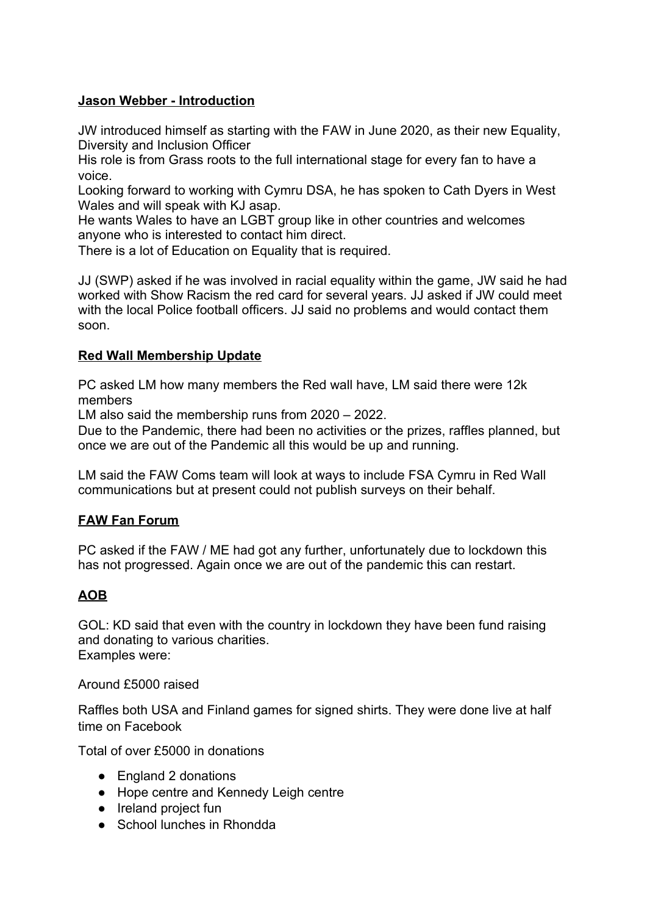#### **Jason Webber - Introduction**

JW introduced himself as starting with the FAW in June 2020, as their new Equality, Diversity and Inclusion Officer

His role is from Grass roots to the full international stage for every fan to have a voice.

Looking forward to working with Cymru DSA, he has spoken to Cath Dyers in West Wales and will speak with KJ asap.

He wants Wales to have an LGBT group like in other countries and welcomes anyone who is interested to contact him direct.

There is a lot of Education on Equality that is required.

JJ (SWP) asked if he was involved in racial equality within the game, JW said he had worked with Show Racism the red card for several years. JJ asked if JW could meet with the local Police football officers. JJ said no problems and would contact them soon.

#### **Red Wall Membership Update**

PC asked LM how many members the Red wall have, LM said there were 12k members

LM also said the membership runs from 2020 – 2022.

Due to the Pandemic, there had been no activities or the prizes, raffles planned, but once we are out of the Pandemic all this would be up and running.

LM said the FAW Coms team will look at ways to include FSA Cymru in Red Wall communications but at present could not publish surveys on their behalf.

#### **FAW Fan Forum**

PC asked if the FAW / ME had got any further, unfortunately due to lockdown this has not progressed. Again once we are out of the pandemic this can restart.

### **AOB**

GOL: KD said that even with the country in lockdown they have been fund raising and donating to various charities. Examples were:

Around £5000 raised

Raffles both USA and Finland games for signed shirts. They were done live at half time on Facebook

Total of over £5000 in donations

- England 2 donations
- Hope centre and Kennedy Leigh centre
- Ireland project fun
- School lunches in Rhondda